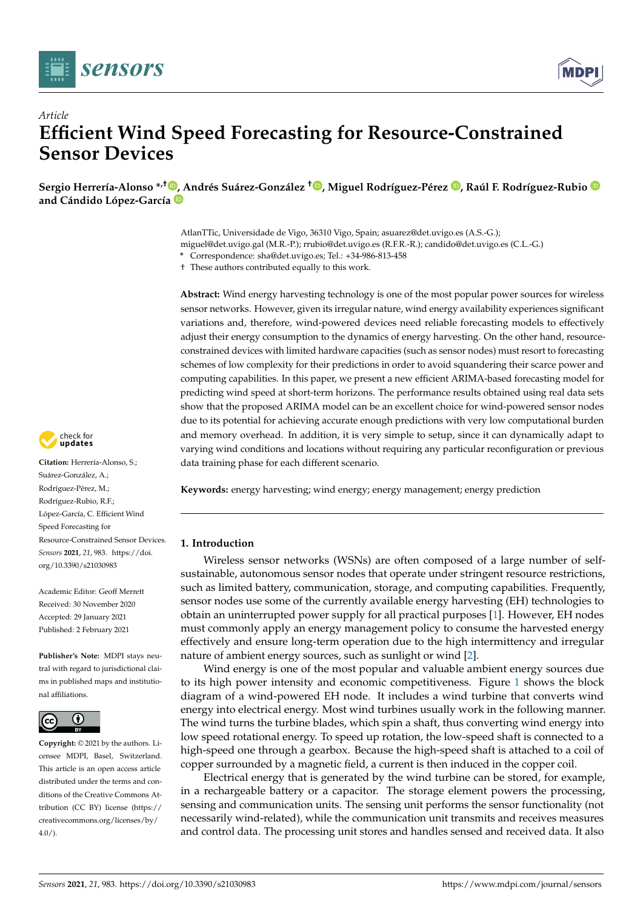



# *Article* **Efficient Wind Speed Forecasting for Resource-Constrained Sensor Devices**

**Sergio Herrería-Alonso \*,† [,](https://orcid.org/0000-0003-3417-5821) [A](https://orcid.org/0000-0001-5338-6734)ndrés Suárez-González † [,](https://orcid.org/0000-0002-8402-9825) Miguel Rodríguez-Pérez [,](https://orcid.org/0000-0001-5965-1076) Raúl F. Rodríguez-Rubio and Cándido López-García**

> AtlanTTic, Universidade de Vigo, 36310 Vigo, Spain; asuarez@det.uvigo.es (A.S.-G.); miguel@det.uvigo.gal (M.R.-P.); rrubio@det.uvigo.es (R.F.R.-R.); candido@det.uvigo.es (C.L.-G.)

**\*** Correspondence: sha@det.uvigo.es; Tel.: +34-986-813-458

† These authors contributed equally to this work.

**Abstract:** Wind energy harvesting technology is one of the most popular power sources for wireless sensor networks. However, given its irregular nature, wind energy availability experiences significant variations and, therefore, wind-powered devices need reliable forecasting models to effectively adjust their energy consumption to the dynamics of energy harvesting. On the other hand, resourceconstrained devices with limited hardware capacities (such as sensor nodes) must resort to forecasting schemes of low complexity for their predictions in order to avoid squandering their scarce power and computing capabilities. In this paper, we present a new efficient ARIMA-based forecasting model for predicting wind speed at short-term horizons. The performance results obtained using real data sets show that the proposed ARIMA model can be an excellent choice for wind-powered sensor nodes due to its potential for achieving accurate enough predictions with very low computational burden and memory overhead. In addition, it is very simple to setup, since it can dynamically adapt to varying wind conditions and locations without requiring any particular reconfiguration or previous data training phase for each different scenario.

**Keywords:** energy harvesting; wind energy; energy management; energy prediction

# **1. Introduction**

Wireless sensor networks (WSNs) are often composed of a large number of selfsustainable, autonomous sensor nodes that operate under stringent resource restrictions, such as limited battery, communication, storage, and computing capabilities. Frequently, sensor nodes use some of the currently available energy harvesting (EH) technologies to obtain an uninterrupted power supply for all practical purposes [\[1\]](#page-14-0). However, EH nodes must commonly apply an energy management policy to consume the harvested energy effectively and ensure long-term operation due to the high intermittency and irregular nature of ambient energy sources, such as sunlight or wind [\[2\]](#page-14-1).

Wind energy is one of the most popular and valuable ambient energy sources due to its high power intensity and economic competitiveness. Figure [1](#page-1-0) shows the block diagram of a wind-powered EH node. It includes a wind turbine that converts wind energy into electrical energy. Most wind turbines usually work in the following manner. The wind turns the turbine blades, which spin a shaft, thus converting wind energy into low speed rotational energy. To speed up rotation, the low-speed shaft is connected to a high-speed one through a gearbox. Because the high-speed shaft is attached to a coil of copper surrounded by a magnetic field, a current is then induced in the copper coil.

Electrical energy that is generated by the wind turbine can be stored, for example, in a rechargeable battery or a capacitor. The storage element powers the processing, sensing and communication units. The sensing unit performs the sensor functionality (not necessarily wind-related), while the communication unit transmits and receives measures and control data. The processing unit stores and handles sensed and received data. It also



**Citation:** Herrería-Alonso, S.; Suárez-González, A.; Rodríguez-Pérez, M.; Rodríguez-Rubio, R.F.; López-García, C. Efficient Wind Speed Forecasting for Resource-Constrained Sensor Devices. *Sensors* **2021**, *21*, 983. [https://doi.](https://doi.org/10.3390/s21030983) [org/10.3390/s21030983](https://doi.org/10.3390/s21030983)

Academic Editor: Geoff Merrett Received: 30 November 2020 Accepted: 29 January 2021 Published: 2 February 2021

**Publisher's Note:** MDPI stays neutral with regard to jurisdictional claims in published maps and institutional affiliations.



**Copyright:** © 2021 by the authors. Licensee MDPI, Basel, Switzerland. This article is an open access article distributed under the terms and conditions of the Creative Commons Attribution (CC BY) license [\(https://](https://creativecommons.org/licenses/by/4.0/) [creativecommons.org/licenses/by/](https://creativecommons.org/licenses/by/4.0/)  $4.0/$ ).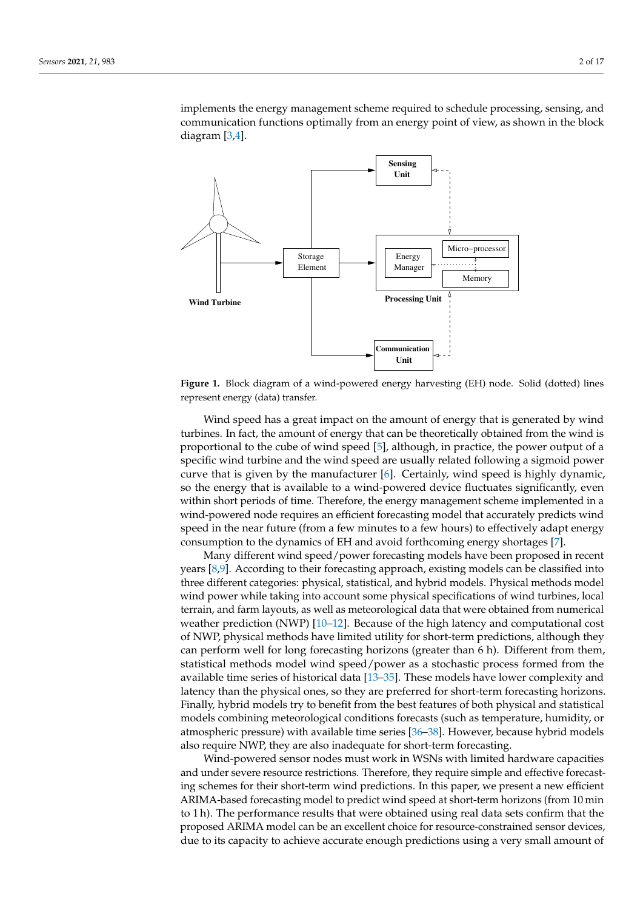implements the energy management scheme required to schedule processing, sensing, and communication functions optimally from an energy point of view, as shown in the block diagram [\[3](#page-14-2)[,4\]](#page-14-3).

<span id="page-1-0"></span>

**Figure 1.** Block diagram of a wind-powered energy harvesting (EH) node. Solid (dotted) lines represent energy (data) transfer.

Wind speed has a great impact on the amount of energy that is generated by wind turbines. In fact, the amount of energy that can be theoretically obtained from the wind is proportional to the cube of wind speed [\[5\]](#page-14-4), although, in practice, the power output of a specific wind turbine and the wind speed are usually related following a sigmoid power curve that is given by the manufacturer  $[6]$ . Certainly, wind speed is highly dynamic, so the energy that is available to a wind-powered device fluctuates significantly, even within short periods of time. Therefore, the energy management scheme implemented in a wind-powered node requires an efficient forecasting model that accurately predicts wind speed in the near future (from a few minutes to a few hours) to effectively adapt energy consumption to the dynamics of EH and avoid forthcoming energy shortages [\[7\]](#page-14-6).

Many different wind speed/power forecasting models have been proposed in recent years [\[8,](#page-14-7)[9\]](#page-14-8). According to their forecasting approach, existing models can be classified into three different categories: physical, statistical, and hybrid models. Physical methods model wind power while taking into account some physical specifications of wind turbines, local terrain, and farm layouts, as well as meteorological data that were obtained from numerical weather prediction (NWP) [\[10–](#page-14-9)[12\]](#page-14-10). Because of the high latency and computational cost of NWP, physical methods have limited utility for short-term predictions, although they can perform well for long forecasting horizons (greater than 6 h). Different from them, statistical methods model wind speed/power as a stochastic process formed from the available time series of historical data [\[13](#page-15-0)[–35\]](#page-15-1). These models have lower complexity and latency than the physical ones, so they are preferred for short-term forecasting horizons. Finally, hybrid models try to benefit from the best features of both physical and statistical models combining meteorological conditions forecasts (such as temperature, humidity, or atmospheric pressure) with available time series [\[36](#page-15-2)[–38\]](#page-15-3). However, because hybrid models also require NWP, they are also inadequate for short-term forecasting.

Wind-powered sensor nodes must work in WSNs with limited hardware capacities and under severe resource restrictions. Therefore, they require simple and effective forecasting schemes for their short-term wind predictions. In this paper, we present a new efficient ARIMA-based forecasting model to predict wind speed at short-term horizons (from 10 min to 1 h). The performance results that were obtained using real data sets confirm that the proposed ARIMA model can be an excellent choice for resource-constrained sensor devices, due to its capacity to achieve accurate enough predictions using a very small amount of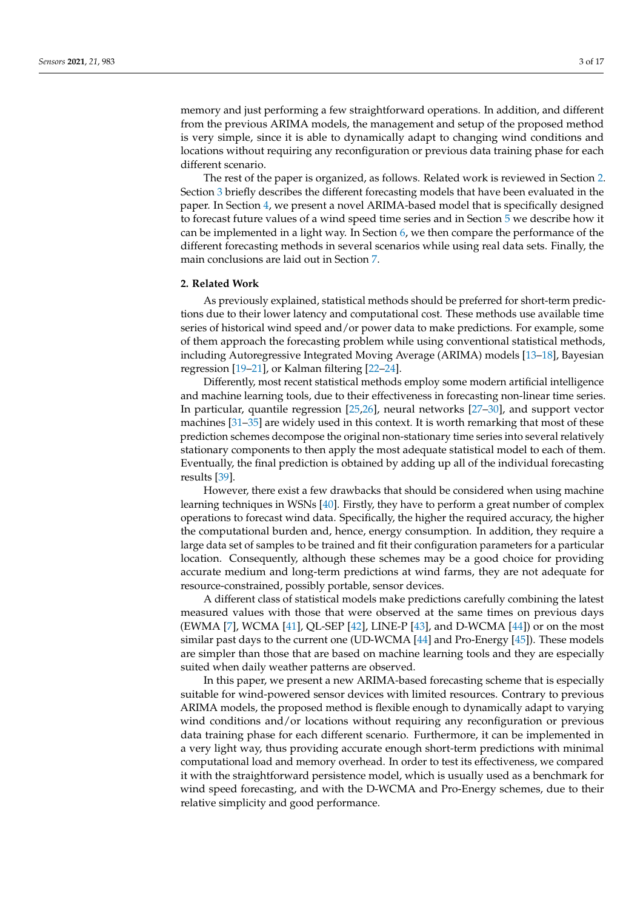memory and just performing a few straightforward operations. In addition, and different from the previous ARIMA models, the management and setup of the proposed method is very simple, since it is able to dynamically adapt to changing wind conditions and locations without requiring any reconfiguration or previous data training phase for each different scenario.

The rest of the paper is organized, as follows. Related work is reviewed in Section [2.](#page-2-0) Section [3](#page-3-0) briefly describes the different forecasting models that have been evaluated in the paper. In Section [4,](#page-5-0) we present a novel ARIMA-based model that is specifically designed to forecast future values of a wind speed time series and in Section [5](#page-8-0) we describe how it can be implemented in a light way. In Section  $6$ , we then compare the performance of the different forecasting methods in several scenarios while using real data sets. Finally, the main conclusions are laid out in Section [7.](#page-13-0)

#### <span id="page-2-0"></span>**2. Related Work**

As previously explained, statistical methods should be preferred for short-term predictions due to their lower latency and computational cost. These methods use available time series of historical wind speed and/or power data to make predictions. For example, some of them approach the forecasting problem while using conventional statistical methods, including Autoregressive Integrated Moving Average (ARIMA) models [\[13–](#page-15-0)[18\]](#page-15-4), Bayesian regression [\[19](#page-15-5)[–21\]](#page-15-6), or Kalman filtering [\[22](#page-15-7)[–24\]](#page-15-8).

Differently, most recent statistical methods employ some modern artificial intelligence and machine learning tools, due to their effectiveness in forecasting non-linear time series. In particular, quantile regression [\[25](#page-15-9)[,26\]](#page-15-10), neural networks [\[27–](#page-15-11)[30\]](#page-15-12), and support vector machines [\[31–](#page-15-13)[35\]](#page-15-1) are widely used in this context. It is worth remarking that most of these prediction schemes decompose the original non-stationary time series into several relatively stationary components to then apply the most adequate statistical model to each of them. Eventually, the final prediction is obtained by adding up all of the individual forecasting results [\[39\]](#page-15-14).

However, there exist a few drawbacks that should be considered when using machine learning techniques in WSNs [\[40\]](#page-15-15). Firstly, they have to perform a great number of complex operations to forecast wind data. Specifically, the higher the required accuracy, the higher the computational burden and, hence, energy consumption. In addition, they require a large data set of samples to be trained and fit their configuration parameters for a particular location. Consequently, although these schemes may be a good choice for providing accurate medium and long-term predictions at wind farms, they are not adequate for resource-constrained, possibly portable, sensor devices.

A different class of statistical models make predictions carefully combining the latest measured values with those that were observed at the same times on previous days (EWMA [\[7\]](#page-14-6), WCMA [\[41\]](#page-15-16), QL-SEP [\[42\]](#page-16-0), LINE-P [\[43\]](#page-16-1), and D-WCMA [\[44\]](#page-16-2)) or on the most similar past days to the current one (UD-WCMA [\[44\]](#page-16-2) and Pro-Energy [\[45\]](#page-16-3)). These models are simpler than those that are based on machine learning tools and they are especially suited when daily weather patterns are observed.

In this paper, we present a new ARIMA-based forecasting scheme that is especially suitable for wind-powered sensor devices with limited resources. Contrary to previous ARIMA models, the proposed method is flexible enough to dynamically adapt to varying wind conditions and/or locations without requiring any reconfiguration or previous data training phase for each different scenario. Furthermore, it can be implemented in a very light way, thus providing accurate enough short-term predictions with minimal computational load and memory overhead. In order to test its effectiveness, we compared it with the straightforward persistence model, which is usually used as a benchmark for wind speed forecasting, and with the D-WCMA and Pro-Energy schemes, due to their relative simplicity and good performance.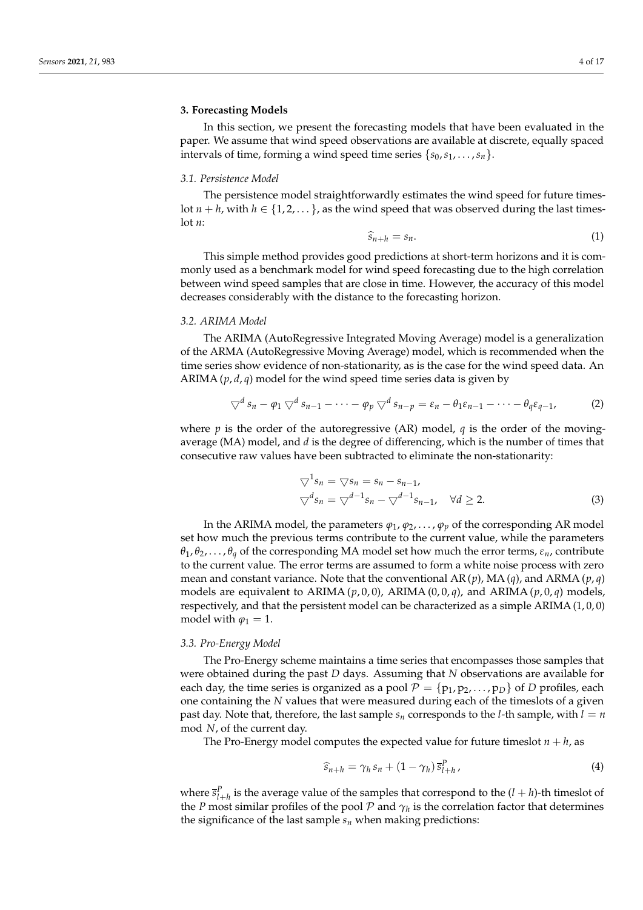# <span id="page-3-0"></span>**3. Forecasting Models**

In this section, we present the forecasting models that have been evaluated in the paper. We assume that wind speed observations are available at discrete, equally spaced intervals of time, forming a wind speed time series  $\{s_0, s_1, \ldots, s_n\}$ .

#### *3.1. Persistence Model*

The persistence model straightforwardly estimates the wind speed for future timeslot  $n + h$ , with  $h \in \{1, 2, \dots\}$ , as the wind speed that was observed during the last timeslot *n*:

$$
\widehat{s}_{n+h} = s_n. \tag{1}
$$

This simple method provides good predictions at short-term horizons and it is commonly used as a benchmark model for wind speed forecasting due to the high correlation between wind speed samples that are close in time. However, the accuracy of this model decreases considerably with the distance to the forecasting horizon.

# *3.2. ARIMA Model*

The ARIMA (AutoRegressive Integrated Moving Average) model is a generalization of the ARMA (AutoRegressive Moving Average) model, which is recommended when the time series show evidence of non-stationarity, as is the case for the wind speed data. An ARIMA (*p*, *d*, *q*) model for the wind speed time series data is given by

$$
\nabla^d s_n - \varphi_1 \nabla^d s_{n-1} - \cdots - \varphi_p \nabla^d s_{n-p} = \varepsilon_n - \theta_1 \varepsilon_{n-1} - \cdots - \theta_q \varepsilon_{q-1}, \tag{2}
$$

where  $p$  is the order of the autoregressive (AR) model,  $q$  is the order of the movingaverage (MA) model, and *d* is the degree of differencing, which is the number of times that consecutive raw values have been subtracted to eliminate the non-stationarity:

$$
\nabla^1 s_n = \nabla s_n = s_n - s_{n-1},
$$
  
\n
$$
\nabla^d s_n = \nabla^{d-1} s_n - \nabla^{d-1} s_{n-1}, \quad \forall d \ge 2.
$$
\n(3)

In the ARIMA model, the parameters  $\varphi_1, \varphi_2, \ldots, \varphi_p$  of the corresponding AR model set how much the previous terms contribute to the current value, while the parameters  $\theta_1, \theta_2, \ldots, \theta_q$  of the corresponding MA model set how much the error terms,  $\varepsilon_n$ , contribute to the current value. The error terms are assumed to form a white noise process with zero mean and constant variance. Note that the conventional  $AR(p)$ ,  $MA(q)$ , and  $ARMA(p,q)$ models are equivalent to ARIMA  $(p, 0, 0)$ , ARIMA  $(0, 0, q)$ , and ARIMA  $(p, 0, q)$  models, respectively, and that the persistent model can be characterized as a simple ARIMA (1, 0, 0) model with  $\varphi_1 = 1$ .

# *3.3. Pro-Energy Model*

The Pro-Energy scheme maintains a time series that encompasses those samples that were obtained during the past *D* days. Assuming that *N* observations are available for each day, the time series is organized as a pool  $\mathcal{P} = \{p_1, p_2, \ldots, p_D\}$  of *D* profiles, each one containing the *N* values that were measured during each of the timeslots of a given past day. Note that, therefore, the last sample  $s_n$  corresponds to the *l*-th sample, with  $l = n$ mod *N*, of the current day.

The Pro-Energy model computes the expected value for future timeslot  $n + h$ , as

$$
\widehat{s}_{n+h} = \gamma_h s_n + (1 - \gamma_h) \bar{s}_{l+h}^P \,, \tag{4}
$$

where  $\bar{s}_{l+h}^P$  is the average value of the samples that correspond to the  $(l+h)$ -th timeslot of the *P* most similar profiles of the pool  $P$  and  $\gamma_h$  is the correlation factor that determines the significance of the last sample  $s_n$  when making predictions: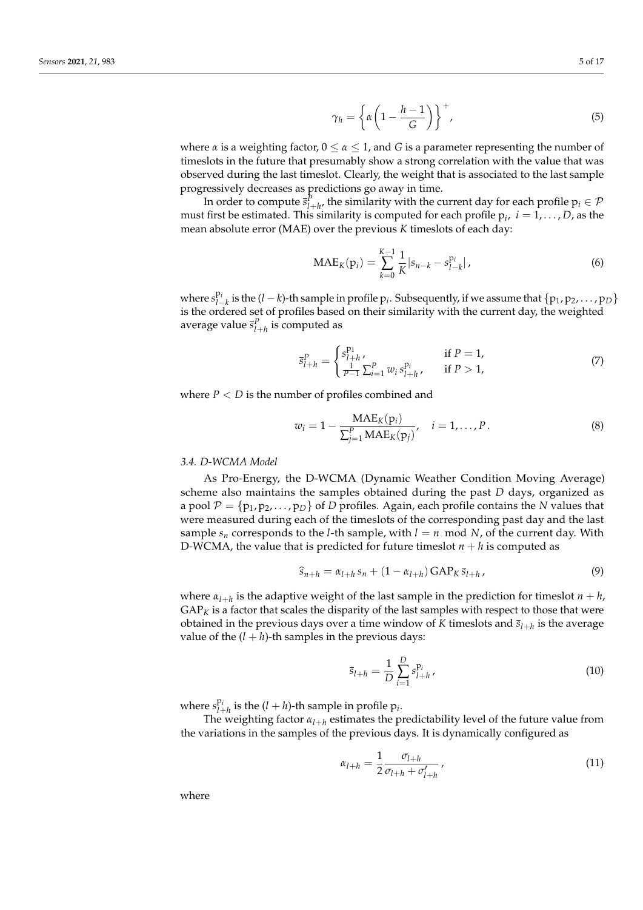$$
\gamma_h = \left\{ \alpha \left( 1 - \frac{h-1}{G} \right) \right\}^+, \tag{5}
$$

where *α* is a weighting factor,  $0 \le \alpha \le 1$ , and *G* is a parameter representing the number of timeslots in the future that presumably show a strong correlation with the value that was observed during the last timeslot. Clearly, the weight that is associated to the last sample progressively decreases as predictions go away in time.

In order to compute  $\bar{s}_{l+h}^P$ , the similarity with the current day for each profile  $p_i \in \mathcal{P}$ must first be estimated. This similarity is computed for each profile  $p_i$ ,  $i = 1, \ldots, D$ , as the mean absolute error (MAE) over the previous *K* timeslots of each day:

<span id="page-4-0"></span>
$$
MAE_K(p_i) = \sum_{k=0}^{K-1} \frac{1}{K} |s_{n-k} - s_{l-k}^{p_i}|,
$$
\n(6)

where  $s_{l-}^{p_i}$  $P^i_{l-k}$  is the (*l* − *k*)-th sample in profile  $p_i$ . Subsequently, if we assume that  $\{p_1, p_2, \ldots, p_D\}$ is the ordered set of profiles based on their similarity with the current day, the weighted average value  $\bar{s}^P_{l+h}$  is computed as

<span id="page-4-1"></span>
$$
\overline{s}_{l+h}^{P} = \begin{cases} s_{l+h}^{P_1}, & \text{if } P = 1, \\ \frac{1}{P-1} \sum_{i=1}^{P} w_i s_{l+h}^{P_i}, & \text{if } P > 1, \end{cases}
$$
(7)

where  $P < D$  is the number of profiles combined and

<span id="page-4-2"></span>
$$
w_i = 1 - \frac{\text{MAE}_K(p_i)}{\sum_{j=1}^P \text{MAE}_K(p_j)}, \quad i = 1, ..., P.
$$
 (8)

#### *3.4. D-WCMA Model*

As Pro-Energy, the D-WCMA (Dynamic Weather Condition Moving Average) scheme also maintains the samples obtained during the past *D* days, organized as a pool  $\mathcal{P} = \{p_1, p_2, \dots, p_D\}$  of *D* profiles. Again, each profile contains the *N* values that were measured during each of the timeslots of the corresponding past day and the last sample  $s_n$  corresponds to the *l*-th sample, with  $l = n \mod N$ , of the current day. With D-WCMA, the value that is predicted for future timeslot  $n + h$  is computed as

$$
\widehat{s}_{n+h} = \alpha_{l+h} s_n + (1 - \alpha_{l+h}) \text{GAP}_K \overline{s}_{l+h}, \tag{9}
$$

where  $\alpha_{l+h}$  is the adaptive weight of the last sample in the prediction for timeslot  $n+h$ ,  $GAP_K$  is a factor that scales the disparity of the last samples with respect to those that were obtained in the previous days over a time window of  $K$  timeslots and  $\bar{s}_{l+h}$  is the average value of the  $(l + h)$ -th samples in the previous days:

$$
\overline{s}_{l+h} = \frac{1}{D} \sum_{i=1}^{D} s_{l+h}^{p_i},
$$
\n(10)

where  $s_{l+1}^{\mathbf{p}_i}$  $l_{l+h}^{P_i}$  is the  $(l+h)$ -th sample in profile  $p_i$ .

The weighting factor  $\alpha_{l+h}$  estimates the predictability level of the future value from the variations in the samples of the previous days. It is dynamically configured as

<span id="page-4-3"></span>
$$
\alpha_{l+h} = \frac{1}{2} \frac{\sigma_{l+h}}{\sigma_{l+h} + \sigma'_{l+h}} \,, \tag{11}
$$

where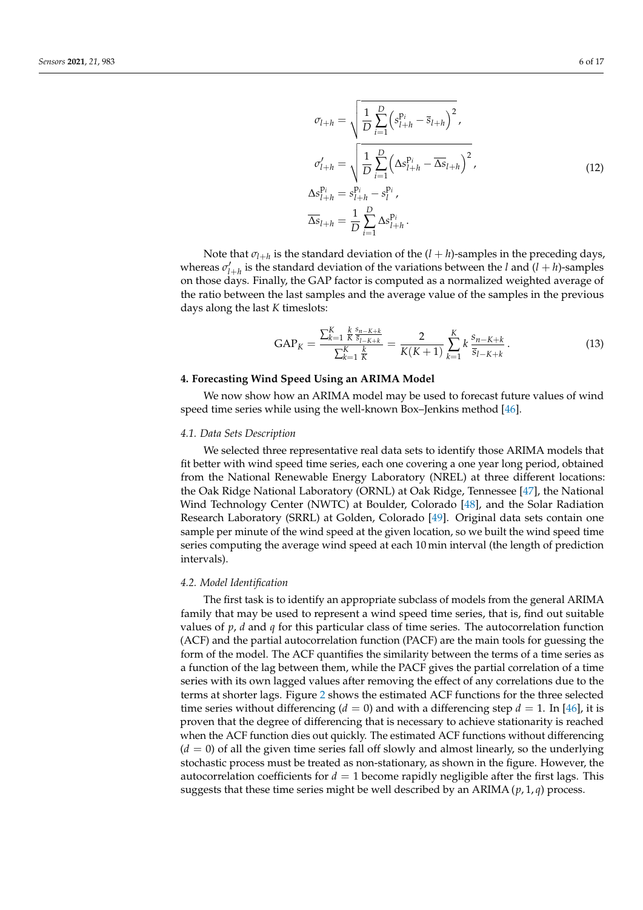$$
\sigma_{l+h} = \sqrt{\frac{1}{D} \sum_{i=1}^{D} (s_{l+h}^{p_i} - \bar{s}_{l+h})^2},
$$
\n
$$
\sigma'_{l+h} = \sqrt{\frac{1}{D} \sum_{i=1}^{D} (\Delta s_{l+h}^{p_i} - \overline{\Delta s}_{l+h})^2},
$$
\n
$$
\Delta s_{l+h}^{p_i} = s_{l+h}^{p_i} - s_l^{p_i},
$$
\n
$$
\overline{\Delta s}_{l+h} = \frac{1}{D} \sum_{i=1}^{D} \Delta s_{l+h}^{p_i}.
$$
\n(12)

<span id="page-5-4"></span>Note that  $\sigma_{l+h}$  is the standard deviation of the  $(l+h)$ -samples in the preceding days, whereas  $\sigma'_{l+h}$  is the standard deviation of the variations between the *l* and  $(l+h)$ -samples on those days. Finally, the GAP factor is computed as a normalized weighted average of the ratio between the last samples and the average value of the samples in the previous days along the last *K* timeslots:

<span id="page-5-3"></span>
$$
GAP_{K} = \frac{\sum_{k=1}^{K} \frac{k}{K} \frac{s_{n-K+k}}{\overline{s}_{l-K+k}}}{\sum_{k=1}^{K} \frac{k}{K}} = \frac{2}{K(K+1)} \sum_{k=1}^{K} k \frac{s_{n-K+k}}{\overline{s}_{l-K+k}}.
$$
\n(13)

#### <span id="page-5-0"></span>**4. Forecasting Wind Speed Using an ARIMA Model**

We now show how an ARIMA model may be used to forecast future values of wind speed time series while using the well-known Box–Jenkins method [\[46\]](#page-16-4).

# <span id="page-5-2"></span>*4.1. Data Sets Description*

We selected three representative real data sets to identify those ARIMA models that fit better with wind speed time series, each one covering a one year long period, obtained from the National Renewable Energy Laboratory (NREL) at three different locations: the Oak Ridge National Laboratory (ORNL) at Oak Ridge, Tennessee [\[47\]](#page-16-5), the National Wind Technology Center (NWTC) at Boulder, Colorado [\[48\]](#page-16-6), and the Solar Radiation Research Laboratory (SRRL) at Golden, Colorado [\[49\]](#page-16-7). Original data sets contain one sample per minute of the wind speed at the given location, so we built the wind speed time series computing the average wind speed at each 10 min interval (the length of prediction intervals).

## <span id="page-5-1"></span>*4.2. Model Identification*

The first task is to identify an appropriate subclass of models from the general ARIMA family that may be used to represent a wind speed time series, that is, find out suitable values of *p*, *d* and *q* for this particular class of time series. The autocorrelation function (ACF) and the partial autocorrelation function (PACF) are the main tools for guessing the form of the model. The ACF quantifies the similarity between the terms of a time series as a function of the lag between them, while the PACF gives the partial correlation of a time series with its own lagged values after removing the effect of any correlations due to the terms at shorter lags. Figure [2](#page-6-0) shows the estimated ACF functions for the three selected time series without differencing  $(d = 0)$  and with a differencing step  $d = 1$ . In [\[46\]](#page-16-4), it is proven that the degree of differencing that is necessary to achieve stationarity is reached when the ACF function dies out quickly. The estimated ACF functions without differencing  $(d = 0)$  of all the given time series fall off slowly and almost linearly, so the underlying stochastic process must be treated as non-stationary, as shown in the figure. However, the autocorrelation coefficients for  $d = 1$  become rapidly negligible after the first lags. This suggests that these time series might be well described by an ARIMA (*p*, 1, *q*) process.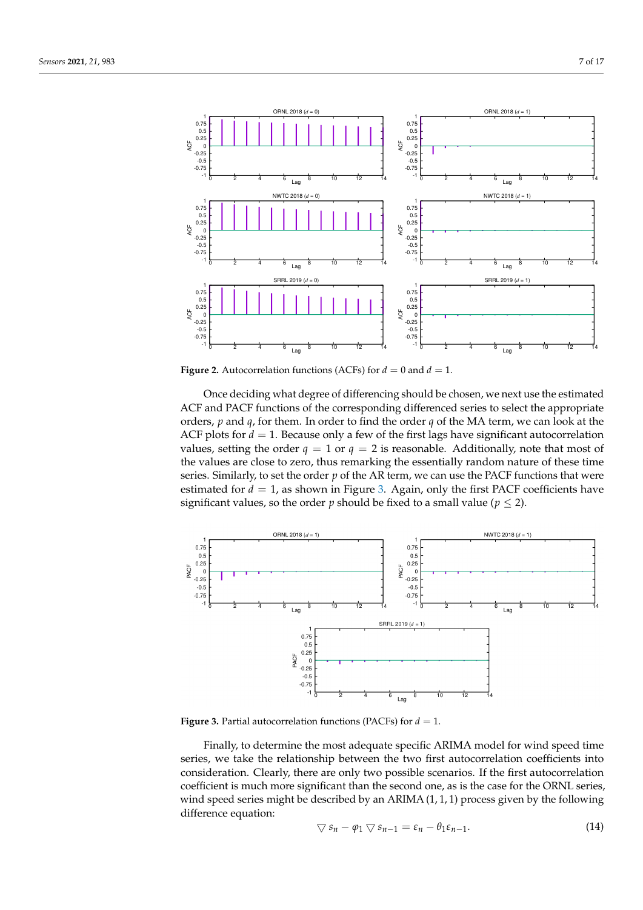<span id="page-6-0"></span>

**Figure 2.** Autocorrelation functions (ACFs) for  $d = 0$  and  $d = 1$ .

Once deciding what degree of differencing should be chosen, we next use the estimated ACF and PACF functions of the corresponding differenced series to select the appropriate orders, *p* and *q*, for them. In order to find the order *q* of the MA term, we can look at the ACF plots for  $d = 1$ . Because only a few of the first lags have significant autocorrelation values, setting the order  $q = 1$  or  $q = 2$  is reasonable. Additionally, note that most of the values are close to zero, thus remarking the essentially random nature of these time series. Similarly, to set the order  $p$  of the AR term, we can use the PACF functions that were estimated for  $d = 1$ , as shown in Figure [3.](#page-6-1) Again, only the first PACF coefficients have significant values, so the order *p* should be fixed to a small value ( $p \le 2$ ).

<span id="page-6-1"></span>

**Figure 3.** Partial autocorrelation functions (PACFs) for  $d = 1$ .

<span id="page-6-2"></span>Finally, to determine the most adequate specific ARIMA model for wind speed time series, we take the relationship between the two first autocorrelation coefficients into consideration. Clearly, there are only two possible scenarios. If the first autocorrelation coefficient is much more significant than the second one, as is the case for the ORNL series, wind speed series might be described by an ARIMA  $(1, 1, 1)$  process given by the following difference equation: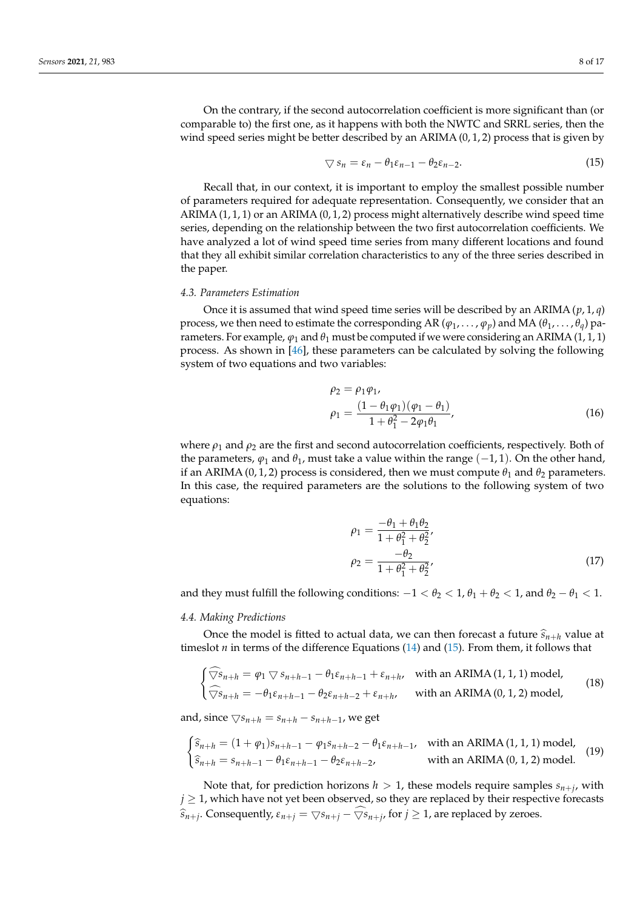<span id="page-7-0"></span>
$$
\nabla s_n = \varepsilon_n - \theta_1 \varepsilon_{n-1} - \theta_2 \varepsilon_{n-2}.
$$
\n(15)

Recall that, in our context, it is important to employ the smallest possible number of parameters required for adequate representation. Consequently, we consider that an ARIMA  $(1, 1, 1)$  or an ARIMA  $(0, 1, 2)$  process might alternatively describe wind speed time series, depending on the relationship between the two first autocorrelation coefficients. We have analyzed a lot of wind speed time series from many different locations and found that they all exhibit similar correlation characteristics to any of the three series described in the paper.

#### <span id="page-7-3"></span>*4.3. Parameters Estimation*

Once it is assumed that wind speed time series will be described by an ARIMA (*p*, 1, *q*) process, we then need to estimate the corresponding AR ( $\varphi_1, \ldots, \varphi_p$ ) and MA ( $\theta_1, \ldots, \theta_q$ ) parameters. For example,  $\varphi_1$  and  $\theta_1$  must be computed if we were considering an ARIMA (1, 1, 1) process. As shown in [\[46\]](#page-16-4), these parameters can be calculated by solving the following system of two equations and two variables:

<span id="page-7-1"></span>
$$
\rho_2 = \rho_1 \varphi_1, \n\rho_1 = \frac{(1 - \theta_1 \varphi_1)(\varphi_1 - \theta_1)}{1 + \theta_1^2 - 2\varphi_1 \theta_1},
$$
\n(16)

where  $\rho_1$  and  $\rho_2$  are the first and second autocorrelation coefficients, respectively. Both of the parameters,  $\varphi_1$  and  $\theta_1$ , must take a value within the range ( $-1, 1$ ). On the other hand, if an ARIMA (0, 1, 2) process is considered, then we must compute  $\theta_1$  and  $\theta_2$  parameters. In this case, the required parameters are the solutions to the following system of two equations:

<span id="page-7-2"></span>
$$
\rho_1 = \frac{-\theta_1 + \theta_1 \theta_2}{1 + \theta_1^2 + \theta_2^2}, \n\rho_2 = \frac{-\theta_2}{1 + \theta_1^2 + \theta_2^2},
$$
\n(17)

and they must fulfill the following conditions:  $-1 < \theta_2 < 1$ ,  $\theta_1 + \theta_2 < 1$ , and  $\theta_2 - \theta_1 < 1$ .

#### *4.4. Making Predictions*

Once the model is fitted to actual data, we can then forecast a future  $\hat{s}_{n+h}$  value at timeslot *n* in terms of the difference Equations [\(14\)](#page-6-2) and [\(15\)](#page-7-0). From them, it follows that

<span id="page-7-4"></span>
$$
\begin{cases}\n\widehat{\nabla}s_{n+h} = \varphi_1 \nabla s_{n+h-1} - \theta_1 \varepsilon_{n+h-1} + \varepsilon_{n+h}, & \text{with an ARIMA}(1, 1, 1) \text{ model}, \\
\widehat{\nabla}s_{n+h} = -\theta_1 \varepsilon_{n+h-1} - \theta_2 \varepsilon_{n+h-2} + \varepsilon_{n+h}, & \text{with an ARIMA}(0, 1, 2) \text{ model},\n\end{cases}
$$
\n(18)

and, since  $\bigtriangledown s_{n+h} = s_{n+h} - s_{n+h-1}$ , we get

$$
\begin{cases}\n\hat{s}_{n+h} = (1 + \varphi_1)s_{n+h-1} - \varphi_1 s_{n+h-2} - \theta_1 \varepsilon_{n+h-1}, & \text{with an ARIMA}(1, 1, 1) \text{ model}, \\
\hat{s}_{n+h} = s_{n+h-1} - \theta_1 \varepsilon_{n+h-1} - \theta_2 \varepsilon_{n+h-2}, & \text{with an ARIMA}(0, 1, 2) \text{ model}.\n\end{cases}
$$
\n(19)

Note that, for prediction horizons  $h > 1$ , these models require samples  $s_{n+j}$ , with  $j \geq 1$ , which have not yet been observed, so they are replaced by their respective forecasts  $\widehat{s}_{n+j}$ . Consequently,  $\varepsilon_{n+j} = \bigtriangledown s_{n+j} - \bigtriangledown s_{n+j}$ , for  $j \geq 1$ , are replaced by zeroes.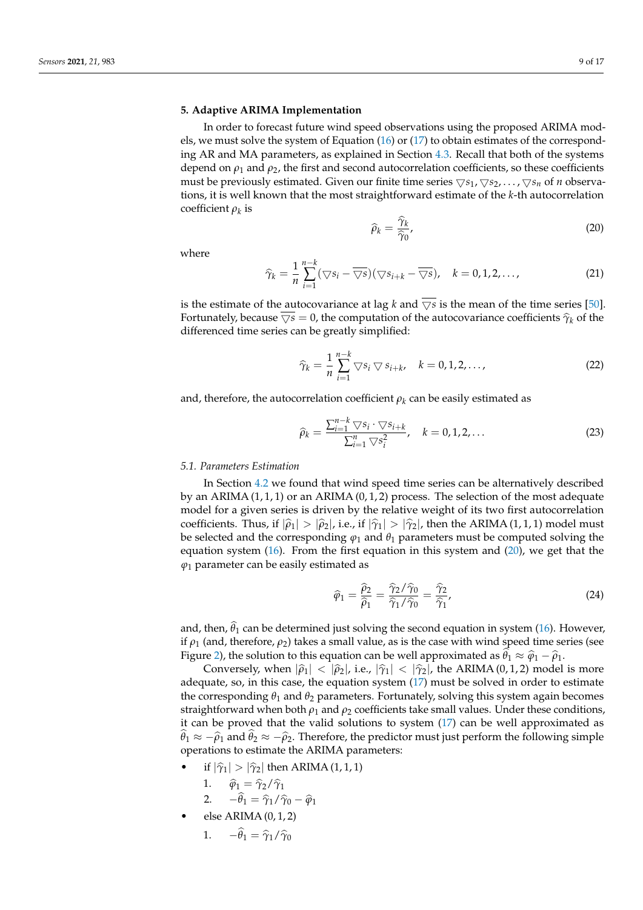# <span id="page-8-0"></span>**5. Adaptive ARIMA Implementation**

In order to forecast future wind speed observations using the proposed ARIMA models, we must solve the system of Equation [\(16\)](#page-7-1) or [\(17\)](#page-7-2) to obtain estimates of the corresponding AR and MA parameters, as explained in Section [4.3.](#page-7-3) Recall that both of the systems depend on  $\rho_1$  and  $\rho_2$ , the first and second autocorrelation coefficients, so these coefficients must be previously estimated. Given our finite time series  $\bigtriangledown s_1, \bigtriangledown s_2, \dots, \bigtriangledown s_n$  of *n* observations, it is well known that the most straightforward estimate of the *k*-th autocorrelation coefficient *ρ<sup>k</sup>* is

<span id="page-8-1"></span>
$$
\widehat{\rho}_k = \frac{\widehat{\gamma}_k}{\widehat{\gamma}_0},\tag{20}
$$

where

$$
\widehat{\gamma}_k = \frac{1}{n} \sum_{i=1}^{n-k} (\bigtriangledown s_i - \overline{\bigtriangledown s})(\bigtriangledown s_{i+k} - \overline{\bigtriangledown s}), \quad k = 0, 1, 2, \ldots,
$$
\n(21)

is the estimate of the autocovariance at lag *k* and  $\overline{\sqrt{s}}$  is the mean of the time series [\[50\]](#page-16-8). Fortunately, because  $\nabla s = 0$ , the computation of the autocovariance coefficients  $\hat{\gamma}_k$  of the differenced time series can be greatly simplified:

$$
\widehat{\gamma}_k = \frac{1}{n} \sum_{i=1}^{n-k} \nabla s_i \nabla s_{i+k}, \quad k = 0, 1, 2, \dots,
$$
\n
$$
(22)
$$

and, therefore, the autocorrelation coefficient  $\rho_k$  can be easily estimated as

$$
\widehat{\rho}_k = \frac{\sum_{i=1}^{n-k} \nabla s_i \cdot \nabla s_{i+k}}{\sum_{i=1}^{n} \nabla s_i^2}, \quad k = 0, 1, 2, \dots
$$
\n(23)

# <span id="page-8-2"></span>*5.1. Parameters Estimation*

In Section [4.2](#page-5-1) we found that wind speed time series can be alternatively described by an ARIMA  $(1, 1, 1)$  or an ARIMA  $(0, 1, 2)$  process. The selection of the most adequate model for a given series is driven by the relative weight of its two first autocorrelation coefficients. Thus, if  $|\hat{\rho}_1| > |\hat{\rho}_2|$ , i.e., if  $|\hat{\gamma}_1| > |\hat{\gamma}_2|$ , then the ARIMA (1, 1, 1) model must be selected and the corresponding  $\varphi_1$  and  $\theta_1$  parameters must be computed solving the equation system [\(16\)](#page-7-1). From the first equation in this system and [\(20\)](#page-8-1), we get that the  $\varphi_1$  parameter can be easily estimated as

$$
\widehat{\varphi}_1 = \frac{\widehat{\rho}_2}{\widehat{\rho}_1} = \frac{\widehat{\gamma}_2/\widehat{\gamma}_0}{\widehat{\gamma}_1/\widehat{\gamma}_0} = \frac{\widehat{\gamma}_2}{\widehat{\gamma}_1},\tag{24}
$$

and, then,  $\theta_1$  can be determined just solving the second equation in system [\(16\)](#page-7-1). However, if  $\rho_1$  (and, therefore,  $\rho_2$ ) takes a small value, as is the case with wind speed time series (see Figure [2\)](#page-6-0), the solution to this equation can be well approximated as  $\hat{\theta}_1 \approx \hat{\varphi}_1 - \hat{\rho}_1$ .<br>  $\hat{\theta}_1 \approx \hat{\theta}_1 + \hat{\rho}_2$ .

Conversely, when  $|\hat{\rho}_1| < |\hat{\rho}_2|$ , i.e.,  $|\hat{\gamma}_1| < |\hat{\gamma}_2|$ , the ARIMA (0, 1, 2) model is more adequate, so, in this case, the equation system [\(17\)](#page-7-2) must be solved in order to estimate the corresponding  $\theta_1$  and  $\theta_2$  parameters. Fortunately, solving this system again becomes straightforward when both  $\rho_1$  and  $\rho_2$  coefficients take small values. Under these conditions, it can be proved that the valid solutions to system [\(17\)](#page-7-2) can be well approximated as  $\hat{\theta}_1 \approx -\hat{\rho}_1$  and  $\hat{\theta}_2 \approx -\hat{\rho}_2$ . Therefore, the predictor must just perform the following simple approximate the ABIMA personatesis operations to estimate the ARIMA parameters:

- if  $|\hat{\gamma}_1| > |\hat{\gamma}_2|$  then ARIMA (1, 1, 1)
	- 1.  $\hat{\varphi}_1 = \hat{\gamma}_2 / \hat{\gamma}_1$
	- 2.  $-\theta_1 = \hat{\gamma}_1 / \hat{\gamma}_0 \hat{\varphi}_1$
- else ARIMA (0, 1, 2)

1. 
$$
-\hat{\theta}_1 = \hat{\gamma}_1 / \hat{\gamma}_0
$$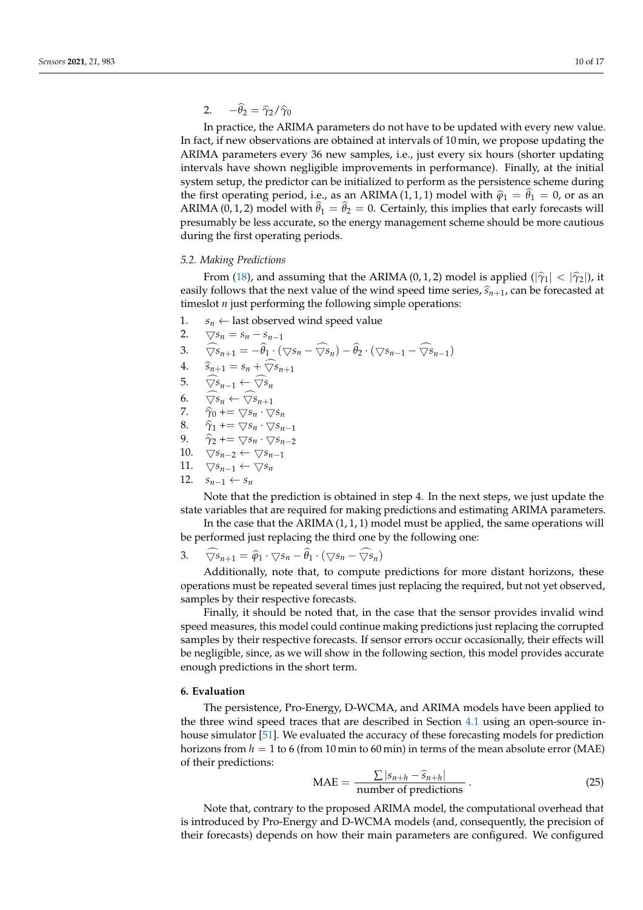2.  $-\theta_2 = \hat{\gamma}_2/\hat{\gamma}_0$ 

In practice, the ARIMA parameters do not have to be updated with every new value. In fact, if new observations are obtained at intervals of 10 min, we propose updating the ARIMA parameters every 36 new samples, i.e., just every six hours (shorter updating intervals have shown negligible improvements in performance). Finally, at the initial system setup, the predictor can be initialized to perform as the persistence scheme during the first operating period, i.e., as an ARIMA (1, 1, 1) model with  $\hat{\varphi}_1 = \hat{\theta}_1 = 0$ , or as an  $\triangle BMA$  (0, 1, 2) model with  $\hat{\theta}_1 = \hat{\theta}_1 = 0$ , Centrinly, this implies that early forecasts will ARIMA (0, 1, 2) model with  $\theta_1 = \theta_2 = 0$ . Certainly, this implies that early forecasts will presumably be less accurate, so the energy management scheme should be more cautious during the first operating periods.

#### <span id="page-9-1"></span>*5.2. Making Predictions*

From [\(18\)](#page-7-4), and assuming that the ARIMA (0, 1, 2) model is applied ( $|\hat{\gamma}_1| < |\hat{\gamma}_2|$ ), it easily follows that the next value of the wind speed time series,  $\hat{s}_{n+1}$ , can be forecasted at timeslot *n* just performing the following simple operations:

- 1.  $s_n \leftarrow$  last observed wind speed value
- 2.  $\bigtriangledown s_n = s_n s_{n-1}$
- 3.  $\nabla s_{n+1} = -\theta_1 \cdot (\nabla s_n \nabla s_n) \theta_2 \cdot (\nabla s_{n-1} \nabla s_{n-1})$
- 4.  $\hat{s}_{n+1} = s_n + \widehat{\nabla} s_{n+1}$
- 5.  $\widehat{\nabla s}_{n-1} \leftarrow \widehat{\nabla s}_n$ <br>6.  $\widehat{\nabla s}_n \leftarrow \widehat{\nabla s}_{n-1}$
- 6.  $\widehat{\nabla s}_n \leftarrow \widehat{\nabla s}_{n+1}$ <br>7.  $\widehat{\gamma}_0 \leftarrow \nabla s_n \cdot \nabla s$
- 7.  $\widehat{\gamma}_0$  +=  $\nabla s_n \cdot \nabla s_n$ <br>8.  $\widehat{\gamma}_1$  +=  $\nabla s_n \cdot \nabla s_n$
- 8.  $\hat{\gamma}_1$  +=  $\nabla s_n \cdot \nabla s_{n-1}$ <br>9.  $\hat{\gamma}_2$  +=  $\nabla s_n \cdot \nabla s_{n-2}$
- $\widehat{\gamma}_2$  +=  $\nabla s_n \cdot \nabla s_{n-2}$
- 10.  $\bigtriangledown s_{n-2} \leftarrow \bigtriangledown s_{n-1}$ 11.  $\bigtriangledown s_{n-1} \leftarrow \bigtriangledown s_n$
- 12.  $s_{n-1}$  ←  $s_n$

Note that the prediction is obtained in step 4. In the next steps, we just update the state variables that are required for making predictions and estimating ARIMA parameters.

In the case that the ARIMA  $(1, 1, 1)$  model must be applied, the same operations will be performed just replacing the third one by the following one:

3.  $\bigtriangledown s_{n+1} = \widehat{\varphi}_1 \cdot \bigtriangledown s_n - \theta_1 \cdot (\bigtriangledown s_n - \bigtriangledown s_n)$ 

Additionally, note that, to compute predictions for more distant horizons, these operations must be repeated several times just replacing the required, but not yet observed, samples by their respective forecasts.

Finally, it should be noted that, in the case that the sensor provides invalid wind speed measures, this model could continue making predictions just replacing the corrupted samples by their respective forecasts. If sensor errors occur occasionally, their effects will be negligible, since, as we will show in the following section, this model provides accurate enough predictions in the short term.

# <span id="page-9-0"></span>**6. Evaluation**

The persistence, Pro-Energy, D-WCMA, and ARIMA models have been applied to the three wind speed traces that are described in Section [4.1](#page-5-2) using an open-source inhouse simulator [\[51\]](#page-16-9). We evaluated the accuracy of these forecasting models for prediction horizons from *h* = 1 to 6 (from 10 min to 60 min) in terms of the mean absolute error (MAE) of their predictions:

$$
\text{MAE} = \frac{\sum |s_{n+h} - \hat{s}_{n+h}|}{\text{number of predictions}} \,. \tag{25}
$$

Note that, contrary to the proposed ARIMA model, the computational overhead that is introduced by Pro-Energy and D-WCMA models (and, consequently, the precision of their forecasts) depends on how their main parameters are configured. We configured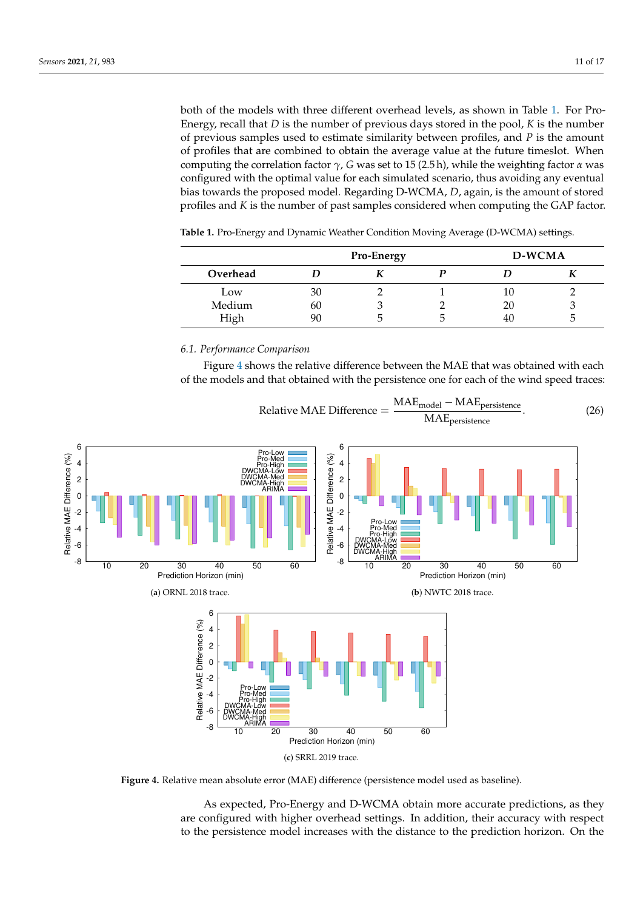both of the models with three different overhead levels, as shown in Table [1.](#page-10-0) For Pro-Energy, recall that *D* is the number of previous days stored in the pool, *K* is the number of previous samples used to estimate similarity between profiles, and *P* is the amount of profiles that are combined to obtain the average value at the future timeslot. When computing the correlation factor  $\gamma$ , *G* was set to 15 (2.5 h), while the weighting factor *α* was configured with the optimal value for each simulated scenario, thus avoiding any eventual bias towards the proposed model. Regarding D-WCMA, *D*, again, is the amount of stored profiles and *K* is the number of past samples considered when computing the GAP factor.

<span id="page-10-0"></span>

| <b>Table 1.</b> Pro-Energy and Dynamic Weather Condition Moving Average (D-WCMA) settings. |  |  |  |  |  |
|--------------------------------------------------------------------------------------------|--|--|--|--|--|
|--------------------------------------------------------------------------------------------|--|--|--|--|--|

|          |    | <b>Pro-Energy</b> |   | D-WCMA |  |
|----------|----|-------------------|---|--------|--|
| Overhead |    |                   |   |        |  |
| Low      | 30 |                   |   | IU.    |  |
| Medium   | 60 |                   |   | 20     |  |
| High     | 90 |                   | h | 40     |  |

# *6.1. Performance Comparison*

Figure [4](#page-10-1) shows the relative difference between the MAE that was obtained with each of the models and that obtained with the persistence one for each of the wind speed traces:

<span id="page-10-1"></span>

**Figure 4.** Relative mean absolute error (MAE) difference (persistence model used as baseline).

As expected, Pro-Energy and D-WCMA obtain more accurate predictions, as they are configured with higher overhead settings. In addition, their accuracy with respect to the persistence model increases with the distance to the prediction horizon. On the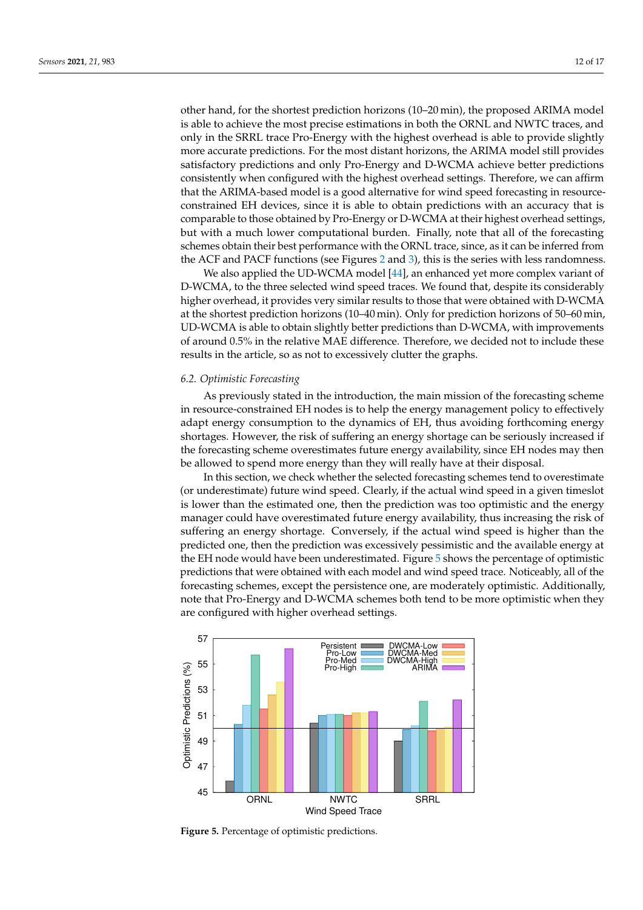other hand, for the shortest prediction horizons (10–20 min), the proposed ARIMA model is able to achieve the most precise estimations in both the ORNL and NWTC traces, and only in the SRRL trace Pro-Energy with the highest overhead is able to provide slightly more accurate predictions. For the most distant horizons, the ARIMA model still provides satisfactory predictions and only Pro-Energy and D-WCMA achieve better predictions consistently when configured with the highest overhead settings. Therefore, we can affirm that the ARIMA-based model is a good alternative for wind speed forecasting in resourceconstrained EH devices, since it is able to obtain predictions with an accuracy that is comparable to those obtained by Pro-Energy or D-WCMA at their highest overhead settings, but with a much lower computational burden. Finally, note that all of the forecasting schemes obtain their best performance with the ORNL trace, since, as it can be inferred from the ACF and PACF functions (see Figures [2](#page-6-0) and [3\)](#page-6-1), this is the series with less randomness.

We also applied the UD-WCMA model [\[44\]](#page-16-2), an enhanced yet more complex variant of D-WCMA, to the three selected wind speed traces. We found that, despite its considerably higher overhead, it provides very similar results to those that were obtained with D-WCMA at the shortest prediction horizons (10–40 min). Only for prediction horizons of 50–60 min, UD-WCMA is able to obtain slightly better predictions than D-WCMA, with improvements of around 0.5% in the relative MAE difference. Therefore, we decided not to include these results in the article, so as not to excessively clutter the graphs.

#### *6.2. Optimistic Forecasting*

As previously stated in the introduction, the main mission of the forecasting scheme in resource-constrained EH nodes is to help the energy management policy to effectively adapt energy consumption to the dynamics of EH, thus avoiding forthcoming energy shortages. However, the risk of suffering an energy shortage can be seriously increased if the forecasting scheme overestimates future energy availability, since EH nodes may then be allowed to spend more energy than they will really have at their disposal.

In this section, we check whether the selected forecasting schemes tend to overestimate (or underestimate) future wind speed. Clearly, if the actual wind speed in a given timeslot is lower than the estimated one, then the prediction was too optimistic and the energy manager could have overestimated future energy availability, thus increasing the risk of suffering an energy shortage. Conversely, if the actual wind speed is higher than the predicted one, then the prediction was excessively pessimistic and the available energy at the EH node would have been underestimated. Figure [5](#page-11-0) shows the percentage of optimistic predictions that were obtained with each model and wind speed trace. Noticeably, all of the forecasting schemes, except the persistence one, are moderately optimistic. Additionally, note that Pro-Energy and D-WCMA schemes both tend to be more optimistic when they are configured with higher overhead settings.

<span id="page-11-0"></span>

**Figure 5.** Percentage of optimistic predictions.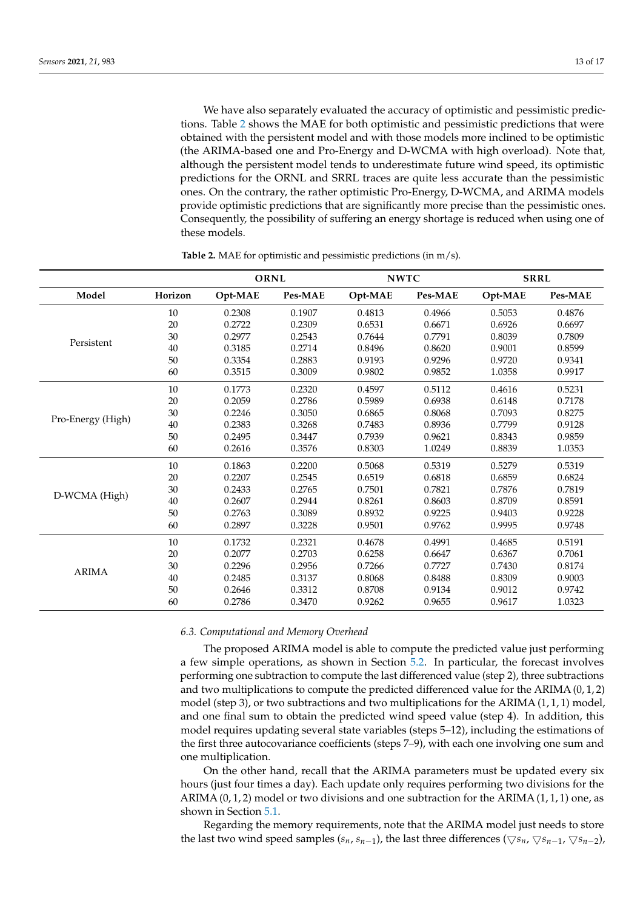We have also separately evaluated the accuracy of optimistic and pessimistic predictions. Table [2](#page-12-0) shows the MAE for both optimistic and pessimistic predictions that were obtained with the persistent model and with those models more inclined to be optimistic (the ARIMA-based one and Pro-Energy and D-WCMA with high overload). Note that, although the persistent model tends to underestimate future wind speed, its optimistic predictions for the ORNL and SRRL traces are quite less accurate than the pessimistic ones. On the contrary, the rather optimistic Pro-Energy, D-WCMA, and ARIMA models provide optimistic predictions that are significantly more precise than the pessimistic ones. Consequently, the possibility of suffering an energy shortage is reduced when using one of these models.

<span id="page-12-0"></span>

|                   |         | ORNL    |         | <b>NWTC</b> |         | <b>SRRL</b> |         |
|-------------------|---------|---------|---------|-------------|---------|-------------|---------|
| Model             | Horizon | Opt-MAE | Pes-MAE | Opt-MAE     | Pes-MAE | Opt-MAE     | Pes-MAE |
| Persistent        | 10      | 0.2308  | 0.1907  | 0.4813      | 0.4966  | 0.5053      | 0.4876  |
|                   | 20      | 0.2722  | 0.2309  | 0.6531      | 0.6671  | 0.6926      | 0.6697  |
|                   | 30      | 0.2977  | 0.2543  | 0.7644      | 0.7791  | 0.8039      | 0.7809  |
|                   | 40      | 0.3185  | 0.2714  | 0.8496      | 0.8620  | 0.9001      | 0.8599  |
|                   | 50      | 0.3354  | 0.2883  | 0.9193      | 0.9296  | 0.9720      | 0.9341  |
|                   | 60      | 0.3515  | 0.3009  | 0.9802      | 0.9852  | 1.0358      | 0.9917  |
|                   | 10      | 0.1773  | 0.2320  | 0.4597      | 0.5112  | 0.4616      | 0.5231  |
|                   | 20      | 0.2059  | 0.2786  | 0.5989      | 0.6938  | 0.6148      | 0.7178  |
|                   | 30      | 0.2246  | 0.3050  | 0.6865      | 0.8068  | 0.7093      | 0.8275  |
| Pro-Energy (High) | 40      | 0.2383  | 0.3268  | 0.7483      | 0.8936  | 0.7799      | 0.9128  |
|                   | 50      | 0.2495  | 0.3447  | 0.7939      | 0.9621  | 0.8343      | 0.9859  |
|                   | 60      | 0.2616  | 0.3576  | 0.8303      | 1.0249  | 0.8839      | 1.0353  |
| D-WCMA (High)     | 10      | 0.1863  | 0.2200  | 0.5068      | 0.5319  | 0.5279      | 0.5319  |
|                   | 20      | 0.2207  | 0.2545  | 0.6519      | 0.6818  | 0.6859      | 0.6824  |
|                   | 30      | 0.2433  | 0.2765  | 0.7501      | 0.7821  | 0.7876      | 0.7819  |
|                   | 40      | 0.2607  | 0.2944  | 0.8261      | 0.8603  | 0.8709      | 0.8591  |
|                   | 50      | 0.2763  | 0.3089  | 0.8932      | 0.9225  | 0.9403      | 0.9228  |
|                   | 60      | 0.2897  | 0.3228  | 0.9501      | 0.9762  | 0.9995      | 0.9748  |
| <b>ARIMA</b>      | 10      | 0.1732  | 0.2321  | 0.4678      | 0.4991  | 0.4685      | 0.5191  |
|                   | 20      | 0.2077  | 0.2703  | 0.6258      | 0.6647  | 0.6367      | 0.7061  |
|                   | 30      | 0.2296  | 0.2956  | 0.7266      | 0.7727  | 0.7430      | 0.8174  |
|                   | 40      | 0.2485  | 0.3137  | 0.8068      | 0.8488  | 0.8309      | 0.9003  |
|                   | 50      | 0.2646  | 0.3312  | 0.8708      | 0.9134  | 0.9012      | 0.9742  |
|                   | 60      | 0.2786  | 0.3470  | 0.9262      | 0.9655  | 0.9617      | 1.0323  |

**Table 2.** MAE for optimistic and pessimistic predictions (in m/s).

## *6.3. Computational and Memory Overhead*

The proposed ARIMA model is able to compute the predicted value just performing a few simple operations, as shown in Section [5.2.](#page-9-1) In particular, the forecast involves performing one subtraction to compute the last differenced value (step 2), three subtractions and two multiplications to compute the predicted differenced value for the ARIMA (0, 1, 2) model (step 3), or two subtractions and two multiplications for the ARIMA (1, 1, 1) model, and one final sum to obtain the predicted wind speed value (step 4). In addition, this model requires updating several state variables (steps 5–12), including the estimations of the first three autocovariance coefficients (steps 7–9), with each one involving one sum and one multiplication.

On the other hand, recall that the ARIMA parameters must be updated every six hours (just four times a day). Each update only requires performing two divisions for the ARIMA  $(0, 1, 2)$  model or two divisions and one subtraction for the ARIMA  $(1, 1, 1)$  one, as shown in Section [5.1.](#page-8-2)

Regarding the memory requirements, note that the ARIMA model just needs to store the last two wind speed samples ( $s_n$ ,  $s_{n-1}$ ), the last three differences ( $\bigtriangledown s_n$ ,  $\bigtriangledown s_{n-1}$ ,  $\bigtriangledown s_{n-2}$ ),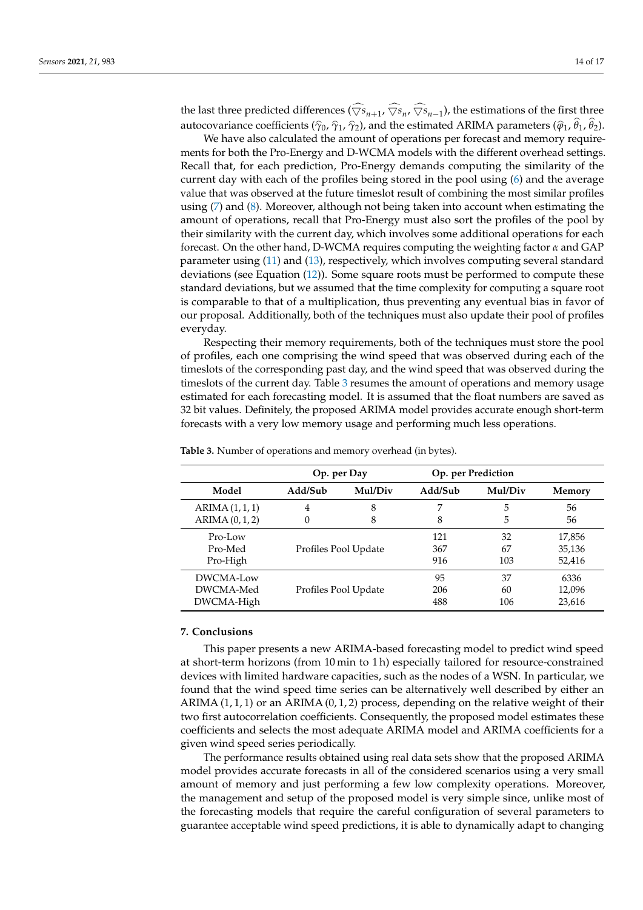the last three predicted differences ( $\bigtriangledown s_{n+1}$ ,  $\bigtriangledown s_n$ ,  $\bigtriangledown s_{n-1}$ ), the estimations of the first three autocovariance coefficients ( $\hat{\gamma}_0$ ,  $\hat{\gamma}_1$ ,  $\hat{\gamma}_2$ ), and the estimated ARIMA parameters ( $\hat{\phi}_1$ ,  $\theta_1$ ,  $\theta_2$ ).

We have also calculated the amount of operations per forecast and memory requirements for both the Pro-Energy and D-WCMA models with the different overhead settings. Recall that, for each prediction, Pro-Energy demands computing the similarity of the current day with each of the profiles being stored in the pool using [\(6\)](#page-4-0) and the average value that was observed at the future timeslot result of combining the most similar profiles using [\(7\)](#page-4-1) and [\(8\)](#page-4-2). Moreover, although not being taken into account when estimating the amount of operations, recall that Pro-Energy must also sort the profiles of the pool by their similarity with the current day, which involves some additional operations for each forecast. On the other hand, D-WCMA requires computing the weighting factor *α* and GAP parameter using [\(11\)](#page-4-3) and [\(13\)](#page-5-3), respectively, which involves computing several standard deviations (see Equation [\(12\)](#page-5-4)). Some square roots must be performed to compute these standard deviations, but we assumed that the time complexity for computing a square root is comparable to that of a multiplication, thus preventing any eventual bias in favor of our proposal. Additionally, both of the techniques must also update their pool of profiles everyday.

Respecting their memory requirements, both of the techniques must store the pool of profiles, each one comprising the wind speed that was observed during each of the timeslots of the corresponding past day, and the wind speed that was observed during the timeslots of the current day. Table [3](#page-13-1) resumes the amount of operations and memory usage estimated for each forecasting model. It is assumed that the float numbers are saved as 32 bit values. Definitely, the proposed ARIMA model provides accurate enough short-term forecasts with a very low memory usage and performing much less operations.

|                                      | Op. per Day |                      |                   | Op. per Prediction |                            |
|--------------------------------------|-------------|----------------------|-------------------|--------------------|----------------------------|
| Model                                | Add/Sub     | Mul/Div              | Add/Sub           | Mul/Div            | Memory                     |
| ARIMA(1,1,1)<br>ARIMA (0, 1, 2)      | 4<br>0      | 8<br>8               | 7<br>8            | 5<br>5             | 56<br>56                   |
| Pro-Low<br>Pro-Med<br>Pro-High       |             | Profiles Pool Update | 121<br>367<br>916 | 32<br>67<br>103    | 17,856<br>35,136<br>52,416 |
| DWCMA-Low<br>DWCMA-Med<br>DWCMA-High |             | Profiles Pool Update | 95<br>206<br>488  | 37<br>60<br>106    | 6336<br>12,096<br>23,616   |

<span id="page-13-1"></span>**Table 3.** Number of operations and memory overhead (in bytes).

## <span id="page-13-0"></span>**7. Conclusions**

This paper presents a new ARIMA-based forecasting model to predict wind speed at short-term horizons (from 10 min to 1 h) especially tailored for resource-constrained devices with limited hardware capacities, such as the nodes of a WSN. In particular, we found that the wind speed time series can be alternatively well described by either an ARIMA  $(1, 1, 1)$  or an ARIMA  $(0, 1, 2)$  process, depending on the relative weight of their two first autocorrelation coefficients. Consequently, the proposed model estimates these coefficients and selects the most adequate ARIMA model and ARIMA coefficients for a given wind speed series periodically.

The performance results obtained using real data sets show that the proposed ARIMA model provides accurate forecasts in all of the considered scenarios using a very small amount of memory and just performing a few low complexity operations. Moreover, the management and setup of the proposed model is very simple since, unlike most of the forecasting models that require the careful configuration of several parameters to guarantee acceptable wind speed predictions, it is able to dynamically adapt to changing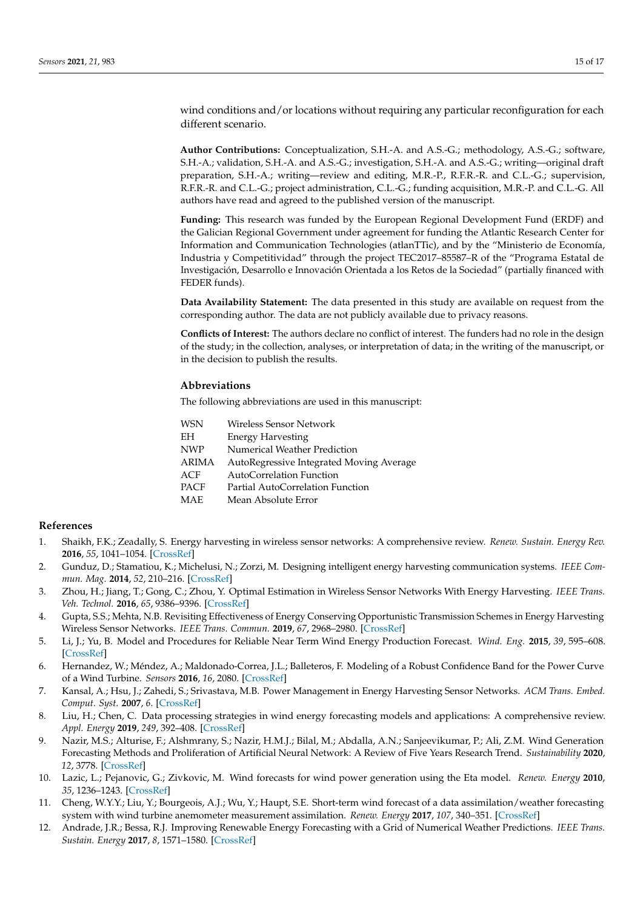wind conditions and/or locations without requiring any particular reconfiguration for each different scenario.

**Author Contributions:** Conceptualization, S.H.-A. and A.S.-G.; methodology, A.S.-G.; software, S.H.-A.; validation, S.H.-A. and A.S.-G.; investigation, S.H.-A. and A.S.-G.; writing—original draft preparation, S.H.-A.; writing—review and editing, M.R.-P., R.F.R.-R. and C.L.-G.; supervision, R.F.R.-R. and C.L.-G.; project administration, C.L.-G.; funding acquisition, M.R.-P. and C.L.-G. All authors have read and agreed to the published version of the manuscript.

**Funding:** This research was funded by the European Regional Development Fund (ERDF) and the Galician Regional Government under agreement for funding the Atlantic Research Center for Information and Communication Technologies (atlanTTic), and by the "Ministerio de Economía, Industria y Competitividad" through the project TEC2017–85587–R of the "Programa Estatal de Investigación, Desarrollo e Innovación Orientada a los Retos de la Sociedad" (partially financed with FEDER funds).

**Data Availability Statement:** The data presented in this study are available on request from the corresponding author. The data are not publicly available due to privacy reasons.

**Conflicts of Interest:** The authors declare no conflict of interest. The funders had no role in the design of the study; in the collection, analyses, or interpretation of data; in the writing of the manuscript, or in the decision to publish the results.

# **Abbreviations**

The following abbreviations are used in this manuscript:

| WSN   | Wireless Sensor Network                  |
|-------|------------------------------------------|
| EН    | Energy Harvesting                        |
| NWP   | Numerical Weather Prediction             |
| ARIMA | AutoRegressive Integrated Moving Average |
| ACF   | AutoCorrelation Function                 |
| PACF  | Partial AutoCorrelation Function         |
| MAE   | Mean Absolute Error                      |
|       |                                          |

# **References**

- <span id="page-14-0"></span>1. Shaikh, F.K.; Zeadally, S. Energy harvesting in wireless sensor networks: A comprehensive review. *Renew. Sustain. Energy Rev.* **2016**, *55*, 1041–1054. [\[CrossRef\]](http://doi.org/10.1016/j.rser.2015.11.010)
- <span id="page-14-1"></span>2. Gunduz, D.; Stamatiou, K.; Michelusi, N.; Zorzi, M. Designing intelligent energy harvesting communication systems. *IEEE Commun. Mag.* **2014**, *52*, 210–216. [\[CrossRef\]](http://dx.doi.org/10.1109/MCOM.2014.6710085)
- <span id="page-14-2"></span>3. Zhou, H.; Jiang, T.; Gong, C.; Zhou, Y. Optimal Estimation in Wireless Sensor Networks With Energy Harvesting. *IEEE Trans. Veh. Technol.* **2016**, *65*, 9386–9396. [\[CrossRef\]](http://dx.doi.org/10.1109/TVT.2016.2519918)
- <span id="page-14-3"></span>4. Gupta, S.S.; Mehta, N.B. Revisiting Effectiveness of Energy Conserving Opportunistic Transmission Schemes in Energy Harvesting Wireless Sensor Networks. *IEEE Trans. Commun.* **2019**, *67*, 2968–2980. [\[CrossRef\]](http://dx.doi.org/10.1109/TCOMM.2018.2889331)
- <span id="page-14-4"></span>5. Li, J.; Yu, B. Model and Procedures for Reliable Near Term Wind Energy Production Forecast. *Wind. Eng.* **2015**, *39*, 595–608. [\[CrossRef\]](http://dx.doi.org/10.1260/0309-524X.39.6.595)
- <span id="page-14-5"></span>6. Hernandez, W.; Méndez, A.; Maldonado-Correa, J.L.; Balleteros, F. Modeling of a Robust Confidence Band for the Power Curve of a Wind Turbine. *Sensors* **2016**, *16*, 2080. [\[CrossRef\]](http://dx.doi.org/10.3390/s16122080)
- <span id="page-14-6"></span>7. Kansal, A.; Hsu, J.; Zahedi, S.; Srivastava, M.B. Power Management in Energy Harvesting Sensor Networks. *ACM Trans. Embed. Comput. Syst.* **2007**, *6*. [\[CrossRef\]](http://dx.doi.org/10.1145/1274858.1274870)
- <span id="page-14-7"></span>8. Liu, H.; Chen, C. Data processing strategies in wind energy forecasting models and applications: A comprehensive review. *Appl. Energy* **2019**, *249*, 392–408. [\[CrossRef\]](http://dx.doi.org/10.1016/j.apenergy.2019.04.188)
- <span id="page-14-8"></span>9. Nazir, M.S.; Alturise, F.; Alshmrany, S.; Nazir, H.M.J.; Bilal, M.; Abdalla, A.N.; Sanjeevikumar, P.; Ali, Z.M. Wind Generation Forecasting Methods and Proliferation of Artificial Neural Network: A Review of Five Years Research Trend. *Sustainability* **2020**, *12*, 3778. [\[CrossRef\]](http://dx.doi.org/10.3390/su12093778)
- <span id="page-14-9"></span>10. Lazic, L.; Pejanovic, G.; Zivkovic, M. Wind forecasts for wind power generation using the Eta model. *Renew. Energy* **2010**, *35*, 1236–1243. [\[CrossRef\]](http://dx.doi.org/10.1016/j.renene.2009.10.028)
- 11. Cheng, W.Y.Y.; Liu, Y.; Bourgeois, A.J.; Wu, Y.; Haupt, S.E. Short-term wind forecast of a data assimilation/weather forecasting system with wind turbine anemometer measurement assimilation. *Renew. Energy* **2017**, *107*, 340–351. [\[CrossRef\]](http://dx.doi.org/10.1016/j.renene.2017.02.014)
- <span id="page-14-10"></span>12. Andrade, J.R.; Bessa, R.J. Improving Renewable Energy Forecasting with a Grid of Numerical Weather Predictions. *IEEE Trans. Sustain. Energy* **2017**, *8*, 1571–1580. [\[CrossRef\]](http://dx.doi.org/10.1109/TSTE.2017.2694340)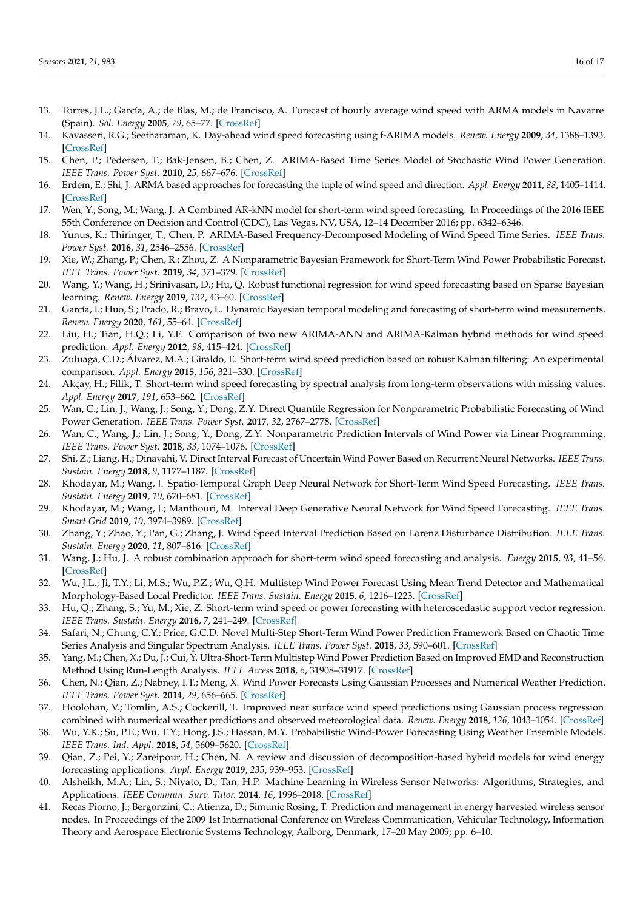- <span id="page-15-0"></span>13. Torres, J.L.; García, A.; de Blas, M.; de Francisco, A. Forecast of hourly average wind speed with ARMA models in Navarre (Spain). *Sol. Energy* **2005**, *79*, 65–77. [\[CrossRef\]](http://dx.doi.org/10.1016/j.solener.2004.09.013)
- 14. Kavasseri, R.G.; Seetharaman, K. Day-ahead wind speed forecasting using f-ARIMA models. *Renew. Energy* **2009**, *34*, 1388–1393. [\[CrossRef\]](http://dx.doi.org/10.1016/j.renene.2008.09.006)
- 15. Chen, P.; Pedersen, T.; Bak-Jensen, B.; Chen, Z. ARIMA-Based Time Series Model of Stochastic Wind Power Generation. *IEEE Trans. Power Syst.* **2010**, *25*, 667–676. [\[CrossRef\]](http://dx.doi.org/10.1109/TPWRS.2009.2033277)
- 16. Erdem, E.; Shi, J. ARMA based approaches for forecasting the tuple of wind speed and direction. *Appl. Energy* **2011**, *88*, 1405–1414. [\[CrossRef\]](http://dx.doi.org/10.1016/j.apenergy.2010.10.031)
- 17. Wen, Y.; Song, M.; Wang, J. A Combined AR-kNN model for short-term wind speed forecasting. In Proceedings of the 2016 IEEE 55th Conference on Decision and Control (CDC), Las Vegas, NV, USA, 12–14 December 2016; pp. 6342–6346.
- <span id="page-15-4"></span>18. Yunus, K.; Thiringer, T.; Chen, P. ARIMA-Based Frequency-Decomposed Modeling of Wind Speed Time Series. *IEEE Trans. Power Syst.* **2016**, *31*, 2546–2556. [\[CrossRef\]](http://dx.doi.org/10.1109/TPWRS.2015.2468586)
- <span id="page-15-5"></span>19. Xie, W.; Zhang, P.; Chen, R.; Zhou, Z. A Nonparametric Bayesian Framework for Short-Term Wind Power Probabilistic Forecast. *IEEE Trans. Power Syst.* **2019**, *34*, 371–379. [\[CrossRef\]](http://dx.doi.org/10.1109/TPWRS.2018.2858265)
- 20. Wang, Y.; Wang, H.; Srinivasan, D.; Hu, Q. Robust functional regression for wind speed forecasting based on Sparse Bayesian learning. *Renew. Energy* **2019**, *132*, 43–60. [\[CrossRef\]](http://dx.doi.org/10.1016/j.renene.2018.07.083)
- <span id="page-15-6"></span>21. García, I.; Huo, S.; Prado, R.; Bravo, L. Dynamic Bayesian temporal modeling and forecasting of short-term wind measurements. *Renew. Energy* **2020**, *161*, 55–64. [\[CrossRef\]](http://dx.doi.org/10.1016/j.renene.2020.05.182)
- <span id="page-15-7"></span>22. Liu, H.; Tian, H.Q.; Li, Y.F. Comparison of two new ARIMA-ANN and ARIMA-Kalman hybrid methods for wind speed prediction. *Appl. Energy* **2012**, *98*, 415–424. [\[CrossRef\]](http://dx.doi.org/10.1016/j.apenergy.2012.04.001)
- 23. Zuluaga, C.D.; Álvarez, M.A.; Giraldo, E. Short-term wind speed prediction based on robust Kalman filtering: An experimental comparison. *Appl. Energy* **2015**, *156*, 321–330. [\[CrossRef\]](http://dx.doi.org/10.1016/j.apenergy.2015.07.043)
- <span id="page-15-8"></span>24. Akçay, H.; Filik, T. Short-term wind speed forecasting by spectral analysis from long-term observations with missing values. *Appl. Energy* **2017**, *191*, 653–662. [\[CrossRef\]](http://dx.doi.org/10.1016/j.apenergy.2017.01.063)
- <span id="page-15-9"></span>25. Wan, C.; Lin, J.; Wang, J.; Song, Y.; Dong, Z.Y. Direct Quantile Regression for Nonparametric Probabilistic Forecasting of Wind Power Generation. *IEEE Trans. Power Syst.* **2017**, *32*, 2767–2778. [\[CrossRef\]](http://dx.doi.org/10.1109/TPWRS.2016.2625101)
- <span id="page-15-10"></span>26. Wan, C.; Wang, J.; Lin, J.; Song, Y.; Dong, Z.Y. Nonparametric Prediction Intervals of Wind Power via Linear Programming. *IEEE Trans. Power Syst.* **2018**, *33*, 1074–1076. [\[CrossRef\]](http://dx.doi.org/10.1109/TPWRS.2017.2716658)
- <span id="page-15-11"></span>27. Shi, Z.; Liang, H.; Dinavahi, V. Direct Interval Forecast of Uncertain Wind Power Based on Recurrent Neural Networks. *IEEE Trans. Sustain. Energy* **2018**, *9*, 1177–1187. [\[CrossRef\]](http://dx.doi.org/10.1109/TSTE.2017.2774195)
- 28. Khodayar, M.; Wang, J. Spatio-Temporal Graph Deep Neural Network for Short-Term Wind Speed Forecasting. *IEEE Trans. Sustain. Energy* **2019**, *10*, 670–681. [\[CrossRef\]](http://dx.doi.org/10.1109/TSTE.2018.2844102)
- 29. Khodayar, M.; Wang, J.; Manthouri, M. Interval Deep Generative Neural Network for Wind Speed Forecasting. *IEEE Trans. Smart Grid* **2019**, *10*, 3974–3989. [\[CrossRef\]](http://dx.doi.org/10.1109/TSG.2018.2847223)
- <span id="page-15-12"></span>30. Zhang, Y.; Zhao, Y.; Pan, G.; Zhang, J. Wind Speed Interval Prediction Based on Lorenz Disturbance Distribution. *IEEE Trans. Sustain. Energy* **2020**, *11*, 807–816. [\[CrossRef\]](http://dx.doi.org/10.1109/TSTE.2019.2907699)
- <span id="page-15-13"></span>31. Wang, J.; Hu, J. A robust combination approach for short-term wind speed forecasting and analysis. *Energy* **2015**, *93*, 41–56. [\[CrossRef\]](http://dx.doi.org/10.1016/j.energy.2015.08.045)
- 32. Wu, J.L.; Ji, T.Y.; Li, M.S.; Wu, P.Z.; Wu, Q.H. Multistep Wind Power Forecast Using Mean Trend Detector and Mathematical Morphology-Based Local Predictor. *IEEE Trans. Sustain. Energy* **2015**, *6*, 1216–1223. [\[CrossRef\]](http://dx.doi.org/10.1109/TSTE.2015.2424856)
- 33. Hu, Q.; Zhang, S.; Yu, M.; Xie, Z. Short-term wind speed or power forecasting with heteroscedastic support vector regression. *IEEE Trans. Sustain. Energy* **2016**, *7*, 241–249. [\[CrossRef\]](http://dx.doi.org/10.1109/TSTE.2015.2480245)
- 34. Safari, N.; Chung, C.Y.; Price, G.C.D. Novel Multi-Step Short-Term Wind Power Prediction Framework Based on Chaotic Time Series Analysis and Singular Spectrum Analysis. *IEEE Trans. Power Syst.* **2018**, *33*, 590–601. [\[CrossRef\]](http://dx.doi.org/10.1109/TPWRS.2017.2694705)
- <span id="page-15-1"></span>35. Yang, M.; Chen, X.; Du, J.; Cui, Y. Ultra-Short-Term Multistep Wind Power Prediction Based on Improved EMD and Reconstruction Method Using Run-Length Analysis. *IEEE Access* **2018**, *6*, 31908–31917. [\[CrossRef\]](http://dx.doi.org/10.1109/ACCESS.2018.2844278)
- <span id="page-15-2"></span>36. Chen, N.; Qian, Z.; Nabney, I.T.; Meng, X. Wind Power Forecasts Using Gaussian Processes and Numerical Weather Prediction. *IEEE Trans. Power Syst.* **2014**, *29*, 656–665. [\[CrossRef\]](http://dx.doi.org/10.1109/TPWRS.2013.2282366)
- 37. Hoolohan, V.; Tomlin, A.S.; Cockerill, T. Improved near surface wind speed predictions using Gaussian process regression combined with numerical weather predictions and observed meteorological data. *Renew. Energy* **2018**, *126*, 1043–1054. [\[CrossRef\]](http://dx.doi.org/10.1016/j.renene.2018.04.019)
- <span id="page-15-3"></span>38. Wu, Y.K.; Su, P.E.; Wu, T.Y.; Hong, J.S.; Hassan, M.Y. Probabilistic Wind-Power Forecasting Using Weather Ensemble Models. *IEEE Trans. Ind. Appl.* **2018**, *54*, 5609–5620. [\[CrossRef\]](http://dx.doi.org/10.1109/TIA.2018.2858183)
- <span id="page-15-14"></span>39. Qian, Z.; Pei, Y.; Zareipour, H.; Chen, N. A review and discussion of decomposition-based hybrid models for wind energy forecasting applications. *Appl. Energy* **2019**, *235*, 939–953. [\[CrossRef\]](http://dx.doi.org/10.1016/j.apenergy.2018.10.080)
- <span id="page-15-15"></span>40. Alsheikh, M.A.; Lin, S.; Niyato, D.; Tan, H.P. Machine Learning in Wireless Sensor Networks: Algorithms, Strategies, and Applications. *IEEE Commun. Surv. Tutor.* **2014**, *16*, 1996–2018. [\[CrossRef\]](http://dx.doi.org/10.1109/COMST.2014.2320099)
- <span id="page-15-16"></span>41. Recas Piorno, J.; Bergonzini, C.; Atienza, D.; Simunic Rosing, T. Prediction and management in energy harvested wireless sensor nodes. In Proceedings of the 2009 1st International Conference on Wireless Communication, Vehicular Technology, Information Theory and Aerospace Electronic Systems Technology, Aalborg, Denmark, 17–20 May 2009; pp. 6–10.